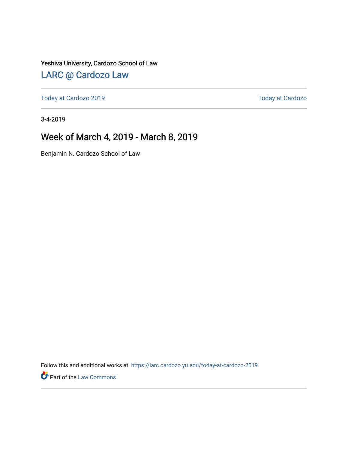Yeshiva University, Cardozo School of Law

### [LARC @ Cardozo Law](https://larc.cardozo.yu.edu/)

[Today at Cardozo 2019](https://larc.cardozo.yu.edu/today-at-cardozo-2019) **Today at Cardozo** 2019

3-4-2019

### Week of March 4, 2019 - March 8, 2019

Benjamin N. Cardozo School of Law

Follow this and additional works at: [https://larc.cardozo.yu.edu/today-at-cardozo-2019](https://larc.cardozo.yu.edu/today-at-cardozo-2019?utm_source=larc.cardozo.yu.edu%2Ftoday-at-cardozo-2019%2F26&utm_medium=PDF&utm_campaign=PDFCoverPages)

**P** Part of the [Law Commons](http://network.bepress.com/hgg/discipline/578?utm_source=larc.cardozo.yu.edu%2Ftoday-at-cardozo-2019%2F26&utm_medium=PDF&utm_campaign=PDFCoverPages)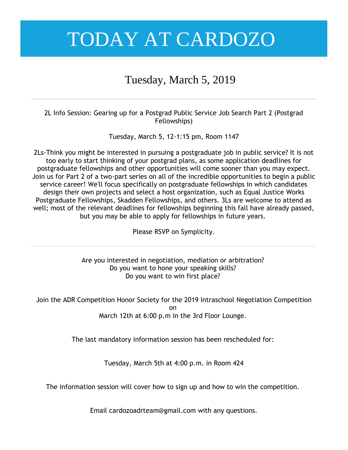### Tuesday, March 5, 2019

2L Info Session: Gearing up for a Postgrad Public Service Job Search Part 2 (Postgrad Fellowships)

Tuesday, March 5, 12-1:15 pm, Room 1147

2Ls-Think you might be interested in pursuing a postgraduate job in public service? It is not too early to start thinking of your postgrad plans, as some application deadlines for postgraduate fellowships and other opportunities will come sooner than you may expect. Join us for Part 2 of a two-part series on all of the incredible opportunities to begin a public service career! We'll focus specifically on postgraduate fellowships in which candidates design their own projects and select a host organization, such as Equal Justice Works Postgraduate Fellowships, Skadden Fellowships, and others. 3Ls are welcome to attend as well; most of the relevant deadlines for fellowships beginning this fall have already passed, but you may be able to apply for fellowships in future years.

Please RSVP on Symplicity.

Are you interested in negotiation, mediation or arbitration? Do you want to hone your speaking skills? Do you want to win first place?

Join the ADR Competition Honor Society for the 2019 Intraschool Negotiation Competition on March 12th at 6:00 p.m in the 3rd Floor Lounge.

The last mandatory information session has been rescheduled for:

Tuesday, March 5th at 4:00 p.m. in Room 424

The information session will cover how to sign up and how to win the competition.

Email cardozoadrteam@gmail.com with any questions.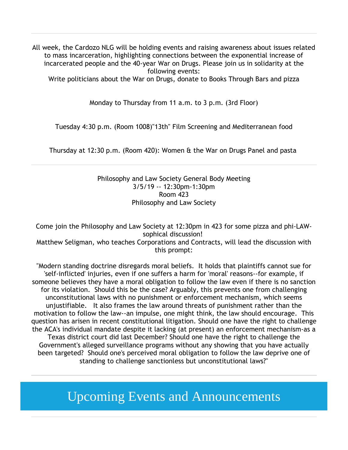All week, the Cardozo NLG will be holding events and raising awareness about issues related to mass incarceration, highlighting connections between the exponential increase of incarcerated people and the 40-year War on Drugs. Please join us in solidarity at the following events:

Write politicians about the War on Drugs, donate to Books Through Bars and pizza

Monday to Thursday from 11 a.m. to 3 p.m. (3rd Floor)

Tuesday 4:30 p.m. (Room 1008)"13th" Film Screening and Mediterranean food

Thursday at 12:30 p.m. (Room 420): Women & the War on Drugs Panel and pasta

Philosophy and Law Society General Body Meeting 3/5/19 -- 12:30pm-1:30pm Room 423 Philosophy and Law Society

Come join the Philosophy and Law Society at 12:30pm in 423 for some pizza and phi-LAWsophical discussion! Matthew Seligman, who teaches Corporations and Contracts, will lead the discussion with this prompt:

"Modern standing doctrine disregards moral beliefs. It holds that plaintiffs cannot sue for 'self-inflicted' injuries, even if one suffers a harm for 'moral' reasons--for example, if someone believes they have a moral obligation to follow the law even if there is no sanction for its violation. Should this be the case? Arguably, this prevents one from challenging unconstitutional laws with no punishment or enforcement mechanism, which seems unjustifiable. It also frames the law around threats of punishment rather than the motivation to follow the law--an impulse, one might think, the law should encourage. This question has arisen in recent constitutional litigation. Should one have the right to challenge the ACA's individual mandate despite it lacking (at present) an enforcement mechanism-as a Texas district court did last December? Should one have the right to challenge the Government's alleged surveillance programs without any showing that you have actually been targeted? Should one's perceived moral obligation to follow the law deprive one of standing to challenge sanctionless but unconstitutional laws?"

Upcoming Events and Announcements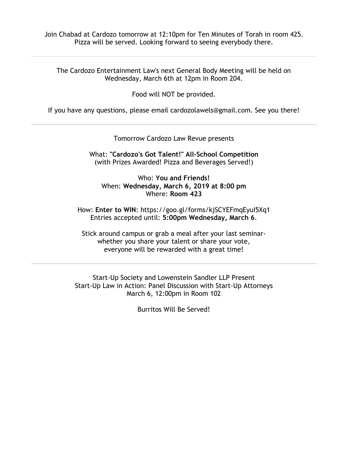Join Chabad at Cardozo tomorrow at 12:10pm for Ten Minutes of Torah in room 425. Pizza will be served. Looking forward to seeing everybody there.

The Cardozo Entertainment Law's next General Body Meeting will be held on Wednesday, March 6th at 12pm in Room 204.

Food will NOT be provided.

If you have any questions, please email cardozolawels@gmail.com. See you there!

Tomorrow Cardozo Law Revue presents

What: **"Cardozo's Got Talent!" All-School Competition** (with Prizes Awarded! Pizza and Beverages Served!)

Who: **You and Friends!** When: **Wednesday, March 6, 2019 at 8:00 pm** Where: **Room 423**

How: **Enter to WIN**: https://goo.gl/forms/kjSCYEFmqEyuI5Xq1 Entries accepted until: **5:00pm Wednesday, March 6**.

Stick around campus or grab a meal after your last seminarwhether you share your talent or share your vote, everyone will be rewarded with a great time!

Start-Up Society and Lowenstein Sandler LLP Present Start-Up Law in Action: Panel Discussion with Start-Up Attorneys March 6, 12:00pm in Room 102

Burritos Will Be Served!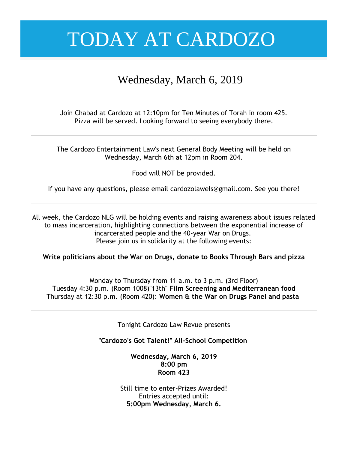### Wednesday, March 6, 2019

Join Chabad at Cardozo at 12:10pm for Ten Minutes of Torah in room 425. Pizza will be served. Looking forward to seeing everybody there.

The Cardozo Entertainment Law's next General Body Meeting will be held on Wednesday, March 6th at 12pm in Room 204.

Food will NOT be provided.

If you have any questions, please email cardozolawels@gmail.com. See you there!

All week, the Cardozo NLG will be holding events and raising awareness about issues related to mass incarceration, highlighting connections between the exponential increase of incarcerated people and the 40-year War on Drugs. Please join us in solidarity at the following events:

**Write politicians about the War on Drugs, donate to Books Through Bars and pizza**

Monday to Thursday from 11 a.m. to 3 p.m. (3rd Floor) Tuesday 4:30 p.m. (Room 1008)"13th" **Film Screening and Mediterranean food** Thursday at 12:30 p.m. (Room 420): **Women & the War on Drugs Panel and pasta**

Tonight Cardozo Law Revue presents

**"Cardozo's Got Talent!" All-School Competition**

**Wednesday, March 6, 2019 8:00 pm Room 423**

Still time to enter-Prizes Awarded! Entries accepted until: **5:00pm Wednesday, March 6.**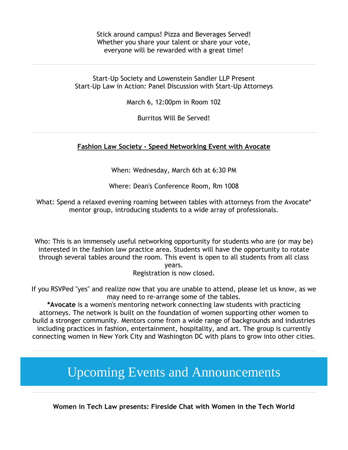Stick around campus! Pizza and Beverages Served! Whether you share your talent or share your vote, everyone will be rewarded with a great time!

Start-Up Society and Lowenstein Sandler LLP Present Start-Up Law in Action: Panel Discussion with Start-Up Attorneys

March 6, 12:00pm in Room 102

Burritos Will Be Served!

#### **Fashion Law Society - Speed Networking Event with Avocate**

When: Wednesday, March 6th at 6:30 PM

Where: Dean's Conference Room, Rm 1008

What: Spend a relaxed evening roaming between tables with attorneys from the Avocate\* mentor group, introducing students to a wide array of professionals.

Who: This is an immensely useful networking opportunity for students who are (or may be) interested in the fashion law practice area. Students will have the opportunity to rotate through several tables around the room. This event is open to all students from all class years.

Registration is now closed.

If you RSVPed "yes" and realize now that you are unable to attend, please let us know, as we may need to re-arrange some of the tables.

**\*Avocate** is a women's mentoring network connecting law students with practicing attorneys. The network is built on the foundation of women supporting other women to build a stronger community. Mentors come from a wide range of backgrounds and industries including practices in fashion, entertainment, hospitality, and art. The group is currently connecting women in New York City and Washington DC with plans to grow into other cities.

Upcoming Events and Announcements

**Women in Tech Law presents: Fireside Chat with Women in the Tech World**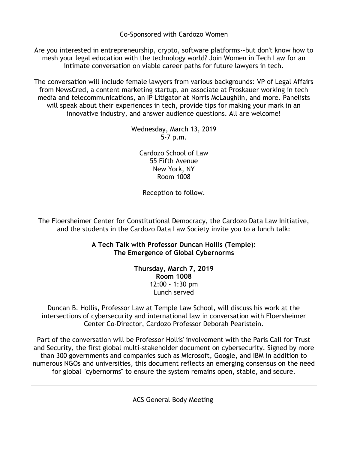Co-Sponsored with Cardozo Women

Are you interested in entrepreneurship, crypto, software platforms--but don't know how to mesh your legal education with the technology world? Join Women in Tech Law for an intimate conversation on viable career paths for future lawyers in tech.

The conversation will include female lawyers from various backgrounds: VP of Legal Affairs from NewsCred, a content marketing startup, an associate at Proskauer working in tech media and telecommunications, an IP Litigator at Norris McLaughlin, and more. Panelists will speak about their experiences in tech, provide tips for making your mark in an innovative industry, and answer audience questions. All are welcome!

> Wednesday, March 13, 2019 5-7 p.m.

Cardozo School of Law 55 Fifth Avenue New York, NY Room 1008

Reception to follow.

The Floersheimer Center for Constitutional Democracy, the Cardozo Data Law Initiative, and the students in the Cardozo Data Law Society invite you to a lunch talk:

> **A Tech Talk with Professor Duncan Hollis (Temple): The Emergence of Global Cybernorms**

> > **Thursday, March 7, 2019 Room 1008** 12:00 - 1:30 pm Lunch served

Duncan B. Hollis, Professor Law at Temple Law School, will discuss his work at the intersections of cybersecurity and international law in conversation with Floersheimer Center Co-Director, Cardozo Professor Deborah Pearlstein.

Part of the conversation will be Professor Hollis' involvement with the Paris Call for Trust and Security, the first global multi-stakeholder document on cybersecurity. Signed by more than 300 governments and companies such as Microsoft, Google, and IBM in addition to numerous NGOs and universities, this document reflects an emerging consensus on the need for global "cybernorms" to ensure the system remains open, stable, and secure.

ACS General Body Meeting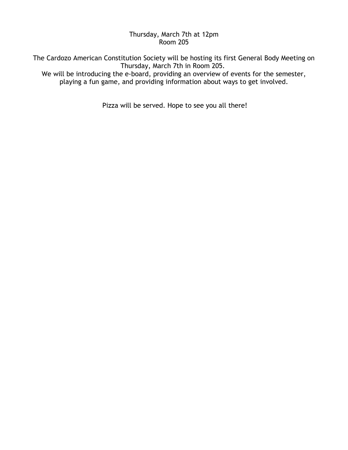#### Thursday, March 7th at 12pm Room 205

The Cardozo American Constitution Society will be hosting its first General Body Meeting on Thursday, March 7th in Room 205. We will be introducing the e-board, providing an overview of events for the semester,

playing a fun game, and providing information about ways to get involved.

Pizza will be served. Hope to see you all there!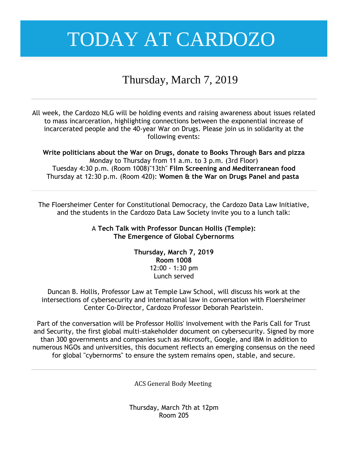### Thursday, March 7, 2019

All week, the Cardozo NLG will be holding events and raising awareness about issues related to mass incarceration, highlighting connections between the exponential increase of incarcerated people and the 40-year War on Drugs. Please join us in solidarity at the following events:

**Write politicians about the War on Drugs, donate to Books Through Bars and pizza** Monday to Thursday from 11 a.m. to 3 p.m. (3rd Floor) Tuesday 4:30 p.m. (Room 1008)"13th" **Film Screening and Mediterranean food** Thursday at 12:30 p.m. (Room 420): **Women & the War on Drugs Panel and pasta**

The Floersheimer Center for Constitutional Democracy, the Cardozo Data Law Initiative, and the students in the Cardozo Data Law Society invite you to a lunch talk:

> A **Tech Talk with Professor Duncan Hollis (Temple): The Emergence of Global Cybernorms**

> > **Thursday, March 7, 2019 Room 1008** 12:00 - 1:30 pm Lunch served

Duncan B. Hollis, Professor Law at Temple Law School, will discuss his work at the intersections of cybersecurity and international law in conversation with Floersheimer Center Co-Director, Cardozo Professor Deborah Pearlstein.

Part of the conversation will be Professor Hollis' involvement with the Paris Call for Trust and Security, the first global multi-stakeholder document on cybersecurity. Signed by more than 300 governments and companies such as Microsoft, Google, and IBM in addition to numerous NGOs and universities, this document reflects an emerging consensus on the need for global "cybernorms" to ensure the system remains open, stable, and secure.

ACS General Body Meeting

Thursday, March 7th at 12pm Room 205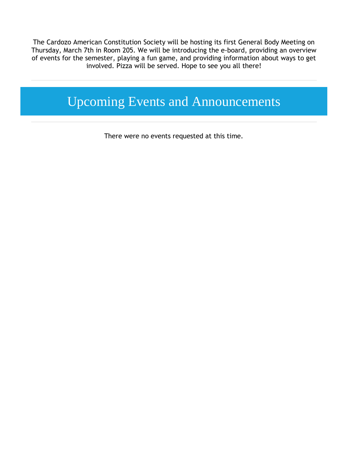The Cardozo American Constitution Society will be hosting its first General Body Meeting on Thursday, March 7th in Room 205. We will be introducing the e-board, providing an overview of events for the semester, playing a fun game, and providing information about ways to get involved. Pizza will be served. Hope to see you all there!

## Upcoming Events and Announcements

There were no events requested at this time.